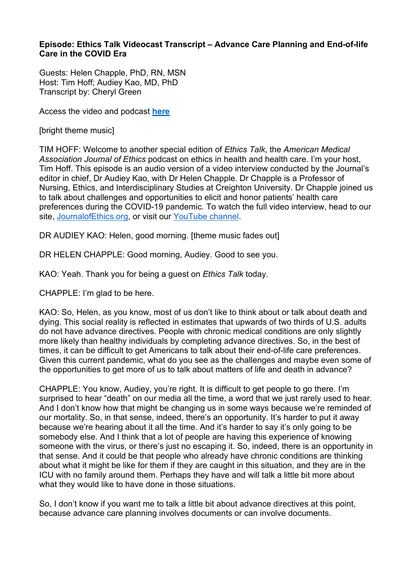## **Episode: Ethics Talk Videocast Transcript – Advance Care Planning and End-of-life Care in the COVID Era**

Guests: Helen Chapple, PhD, RN, MSN Host: Tim Hoff; Audiey Kao, MD, PhD Transcript by: Cheryl Green

Access the video and podcast **[here](https://journalofethics.ama-assn.org/videocast/ethics-talk-advance-care-planning-and-end-life-care-covid-era)**

[bright theme music]

TIM HOFF: Welcome to another special edition of *Ethics Talk*, the *American Medical Association Journal of Ethics* podcast on ethics in health and health care. I'm your host, Tim Hoff. This episode is an audio version of a video interview conducted by the Journal's editor in chief, Dr Audiey Kao, with Dr Helen Chapple. Dr Chapple is a Professor of Nursing, Ethics, and Interdisciplinary Studies at Creighton University. Dr Chapple joined us to talk about challenges and opportunities to elicit and honor patients' health care preferences during the COVID-19 pandemic. To watch the full video interview, head to our site, [JournalofEthics.org,](https://journalofethics.ama-assn.org/home) or visit our [YouTube channel.](https://www.youtube.com/channel/UCRp31IooHjnxkxXNLj915Tg)

DR AUDIEY KAO: Helen, good morning. [theme music fades out]

DR HELEN CHAPPLE: Good morning, Audiey. Good to see you.

KAO: Yeah. Thank you for being a guest on *Ethics Talk* today.

CHAPPLE: I'm glad to be here.

KAO: So, Helen, as you know, most of us don't like to think about or talk about death and dying. This social reality is reflected in estimates that upwards of two thirds of U.S. adults do not have advance directives. People with chronic medical conditions are only slightly more likely than healthy individuals by completing advance directives. So, in the best of times, it can be difficult to get Americans to talk about their end-of-life care preferences. Given this current pandemic, what do you see as the challenges and maybe even some of the opportunities to get more of us to talk about matters of life and death in advance?

CHAPPLE: You know, Audiey, you're right. It is difficult to get people to go there. I'm surprised to hear "death" on our media all the time, a word that we just rarely used to hear. And I don't know how that might be changing us in some ways because we're reminded of our mortality. So, in that sense, indeed, there's an opportunity. It's harder to put it away because we're hearing about it all the time. And it's harder to say it's only going to be somebody else. And I think that a lot of people are having this experience of knowing someone with the virus, or there's just no escaping it. So, indeed, there is an opportunity in that sense. And it could be that people who already have chronic conditions are thinking about what it might be like for them if they are caught in this situation, and they are in the ICU with no family around them. Perhaps they have and will talk a little bit more about what they would like to have done in those situations.

So, I don't know if you want me to talk a little bit about advance directives at this point, because advance care planning involves documents or can involve documents.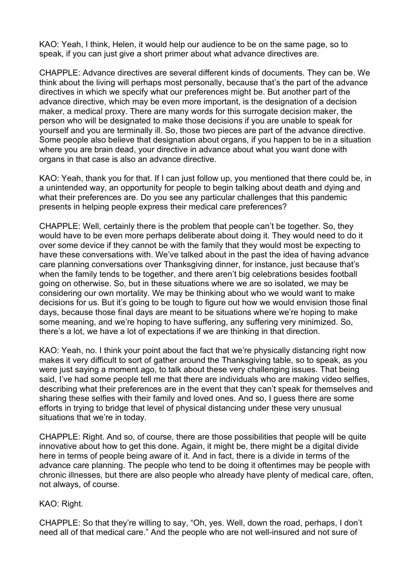KAO: Yeah, I think, Helen, it would help our audience to be on the same page, so to speak, if you can just give a short primer about what advance directives are.

CHAPPLE: Advance directives are several different kinds of documents. They can be. We think about the living will perhaps most personally, because that's the part of the advance directives in which we specify what our preferences might be. But another part of the advance directive, which may be even more important, is the designation of a decision maker, a medical proxy. There are many words for this surrogate decision maker, the person who will be designated to make those decisions if you are unable to speak for yourself and you are terminally ill. So, those two pieces are part of the advance directive. Some people also believe that designation about organs, if you happen to be in a situation where you are brain dead, your directive in advance about what you want done with organs in that case is also an advance directive.

KAO: Yeah, thank you for that. If I can just follow up, you mentioned that there could be, in a unintended way, an opportunity for people to begin talking about death and dying and what their preferences are. Do you see any particular challenges that this pandemic presents in helping people express their medical care preferences?

CHAPPLE: Well, certainly there is the problem that people can't be together. So, they would have to be even more perhaps deliberate about doing it. They would need to do it over some device if they cannot be with the family that they would most be expecting to have these conversations with. We've talked about in the past the idea of having advance care planning conversations over Thanksgiving dinner, for instance, just because that's when the family tends to be together, and there aren't big celebrations besides football going on otherwise. So, but in these situations where we are so isolated, we may be considering our own mortality. We may be thinking about who we would want to make decisions for us. But it's going to be tough to figure out how we would envision those final days, because those final days are meant to be situations where we're hoping to make some meaning, and we're hoping to have suffering, any suffering very minimized. So, there's a lot, we have a lot of expectations if we are thinking in that direction.

KAO: Yeah, no. I think your point about the fact that we're physically distancing right now makes it very difficult to sort of gather around the Thanksgiving table, so to speak, as you were just saying a moment ago, to talk about these very challenging issues. That being said, I've had some people tell me that there are individuals who are making video selfies, describing what their preferences are in the event that they can't speak for themselves and sharing these selfies with their family and loved ones. And so, I guess there are some efforts in trying to bridge that level of physical distancing under these very unusual situations that we're in today.

CHAPPLE: Right. And so, of course, there are those possibilities that people will be quite innovative about how to get this done. Again, it might be, there might be a digital divide here in terms of people being aware of it. And in fact, there is a divide in terms of the advance care planning. The people who tend to be doing it oftentimes may be people with chronic illnesses, but there are also people who already have plenty of medical care, often, not always, of course.

## KAO: Right.

CHAPPLE: So that they're willing to say, "Oh, yes. Well, down the road, perhaps, I don't need all of that medical care." And the people who are not well-insured and not sure of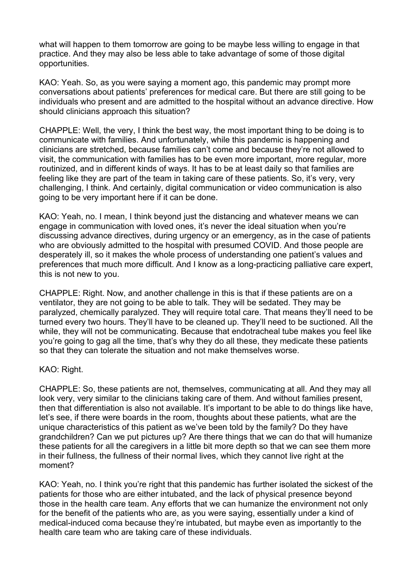what will happen to them tomorrow are going to be maybe less willing to engage in that practice. And they may also be less able to take advantage of some of those digital opportunities.

KAO: Yeah. So, as you were saying a moment ago, this pandemic may prompt more conversations about patients' preferences for medical care. But there are still going to be individuals who present and are admitted to the hospital without an advance directive. How should clinicians approach this situation?

CHAPPLE: Well, the very, I think the best way, the most important thing to be doing is to communicate with families. And unfortunately, while this pandemic is happening and clinicians are stretched, because families can't come and because they're not allowed to visit, the communication with families has to be even more important, more regular, more routinized, and in different kinds of ways. It has to be at least daily so that families are feeling like they are part of the team in taking care of these patients. So, it's very, very challenging, I think. And certainly, digital communication or video communication is also going to be very important here if it can be done.

KAO: Yeah, no. I mean, I think beyond just the distancing and whatever means we can engage in communication with loved ones, it's never the ideal situation when you're discussing advance directives, during urgency or an emergency, as in the case of patients who are obviously admitted to the hospital with presumed COVID. And those people are desperately ill, so it makes the whole process of understanding one patient's values and preferences that much more difficult. And I know as a long-practicing palliative care expert, this is not new to you.

CHAPPLE: Right. Now, and another challenge in this is that if these patients are on a ventilator, they are not going to be able to talk. They will be sedated. They may be paralyzed, chemically paralyzed. They will require total care. That means they'll need to be turned every two hours. They'll have to be cleaned up. They'll need to be suctioned. All the while, they will not be communicating. Because that endotracheal tube makes you feel like you're going to gag all the time, that's why they do all these, they medicate these patients so that they can tolerate the situation and not make themselves worse.

KAO: Right.

CHAPPLE: So, these patients are not, themselves, communicating at all. And they may all look very, very similar to the clinicians taking care of them. And without families present, then that differentiation is also not available. It's important to be able to do things like have, let's see, if there were boards in the room, thoughts about these patients, what are the unique characteristics of this patient as we've been told by the family? Do they have grandchildren? Can we put pictures up? Are there things that we can do that will humanize these patients for all the caregivers in a little bit more depth so that we can see them more in their fullness, the fullness of their normal lives, which they cannot live right at the moment?

KAO: Yeah, no. I think you're right that this pandemic has further isolated the sickest of the patients for those who are either intubated, and the lack of physical presence beyond those in the health care team. Any efforts that we can humanize the environment not only for the benefit of the patients who are, as you were saying, essentially under a kind of medical-induced coma because they're intubated, but maybe even as importantly to the health care team who are taking care of these individuals.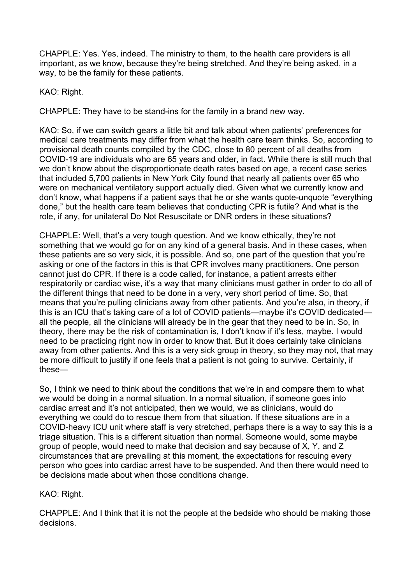CHAPPLE: Yes. Yes, indeed. The ministry to them, to the health care providers is all important, as we know, because they're being stretched. And they're being asked, in a way, to be the family for these patients.

KAO: Right.

CHAPPLE: They have to be stand-ins for the family in a brand new way.

KAO: So, if we can switch gears a little bit and talk about when patients' preferences for medical care treatments may differ from what the health care team thinks. So, according to provisional death counts compiled by the CDC, close to 80 percent of all deaths from COVID-19 are individuals who are 65 years and older, in fact. While there is still much that we don't know about the disproportionate death rates based on age, a recent case series that included 5,700 patients in New York City found that nearly all patients over 65 who were on mechanical ventilatory support actually died. Given what we currently know and don't know, what happens if a patient says that he or she wants quote-unquote "everything done," but the health care team believes that conducting CPR is futile? And what is the role, if any, for unilateral Do Not Resuscitate or DNR orders in these situations?

CHAPPLE: Well, that's a very tough question. And we know ethically, they're not something that we would go for on any kind of a general basis. And in these cases, when these patients are so very sick, it is possible. And so, one part of the question that you're asking or one of the factors in this is that CPR involves many practitioners. One person cannot just do CPR. If there is a code called, for instance, a patient arrests either respiratorily or cardiac wise, it's a way that many clinicians must gather in order to do all of the different things that need to be done in a very, very short period of time. So, that means that you're pulling clinicians away from other patients. And you're also, in theory, if this is an ICU that's taking care of a lot of COVID patients—maybe it's COVID dedicated all the people, all the clinicians will already be in the gear that they need to be in. So, in theory, there may be the risk of contamination is, I don't know if it's less, maybe. I would need to be practicing right now in order to know that. But it does certainly take clinicians away from other patients. And this is a very sick group in theory, so they may not, that may be more difficult to justify if one feels that a patient is not going to survive. Certainly, if these—

So, I think we need to think about the conditions that we're in and compare them to what we would be doing in a normal situation. In a normal situation, if someone goes into cardiac arrest and it's not anticipated, then we would, we as clinicians, would do everything we could do to rescue them from that situation. If these situations are in a COVID-heavy ICU unit where staff is very stretched, perhaps there is a way to say this is a triage situation. This is a different situation than normal. Someone would, some maybe group of people, would need to make that decision and say because of X, Y, and Z circumstances that are prevailing at this moment, the expectations for rescuing every person who goes into cardiac arrest have to be suspended. And then there would need to be decisions made about when those conditions change.

## KAO: Right.

CHAPPLE: And I think that it is not the people at the bedside who should be making those decisions.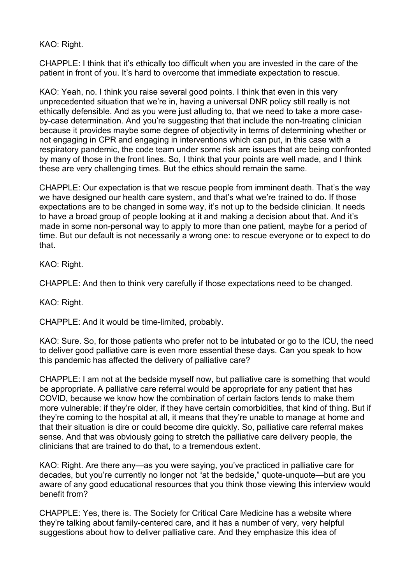KAO: Right.

CHAPPLE: I think that it's ethically too difficult when you are invested in the care of the patient in front of you. It's hard to overcome that immediate expectation to rescue.

KAO: Yeah, no. I think you raise several good points. I think that even in this very unprecedented situation that we're in, having a universal DNR policy still really is not ethically defensible. And as you were just alluding to, that we need to take a more caseby-case determination. And you're suggesting that that include the non-treating clinician because it provides maybe some degree of objectivity in terms of determining whether or not engaging in CPR and engaging in interventions which can put, in this case with a respiratory pandemic, the code team under some risk are issues that are being confronted by many of those in the front lines. So, I think that your points are well made, and I think these are very challenging times. But the ethics should remain the same.

CHAPPLE: Our expectation is that we rescue people from imminent death. That's the way we have designed our health care system, and that's what we're trained to do. If those expectations are to be changed in some way, it's not up to the bedside clinician. It needs to have a broad group of people looking at it and making a decision about that. And it's made in some non-personal way to apply to more than one patient, maybe for a period of time. But our default is not necessarily a wrong one: to rescue everyone or to expect to do that.

KAO: Right.

CHAPPLE: And then to think very carefully if those expectations need to be changed.

KAO: Right.

CHAPPLE: And it would be time-limited, probably.

KAO: Sure. So, for those patients who prefer not to be intubated or go to the ICU, the need to deliver good palliative care is even more essential these days. Can you speak to how this pandemic has affected the delivery of palliative care?

CHAPPLE: I am not at the bedside myself now, but palliative care is something that would be appropriate. A palliative care referral would be appropriate for any patient that has COVID, because we know how the combination of certain factors tends to make them more vulnerable: if they're older, if they have certain comorbidities, that kind of thing. But if they're coming to the hospital at all, it means that they're unable to manage at home and that their situation is dire or could become dire quickly. So, palliative care referral makes sense. And that was obviously going to stretch the palliative care delivery people, the clinicians that are trained to do that, to a tremendous extent.

KAO: Right. Are there any—as you were saying, you've practiced in palliative care for decades, but you're currently no longer not "at the bedside," quote-unquote—but are you aware of any good educational resources that you think those viewing this interview would benefit from?

CHAPPLE: Yes, there is. The Society for Critical Care Medicine has a website where they're talking about family-centered care, and it has a number of very, very helpful suggestions about how to deliver palliative care. And they emphasize this idea of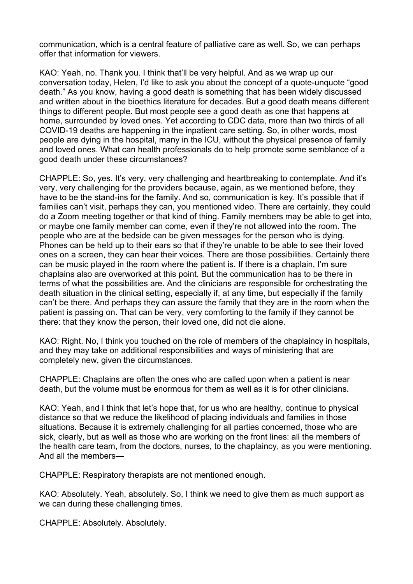communication, which is a central feature of palliative care as well. So, we can perhaps offer that information for viewers.

KAO: Yeah, no. Thank you. I think that'll be very helpful. And as we wrap up our conversation today, Helen, I'd like to ask you about the concept of a quote-unquote "good death." As you know, having a good death is something that has been widely discussed and written about in the bioethics literature for decades. But a good death means different things to different people. But most people see a good death as one that happens at home, surrounded by loved ones. Yet according to CDC data, more than two thirds of all COVID-19 deaths are happening in the inpatient care setting. So, in other words, most people are dying in the hospital, many in the ICU, without the physical presence of family and loved ones. What can health professionals do to help promote some semblance of a good death under these circumstances?

CHAPPLE: So, yes. It's very, very challenging and heartbreaking to contemplate. And it's very, very challenging for the providers because, again, as we mentioned before, they have to be the stand-ins for the family. And so, communication is key. It's possible that if families can't visit, perhaps they can, you mentioned video. There are certainly, they could do a Zoom meeting together or that kind of thing. Family members may be able to get into, or maybe one family member can come, even if they're not allowed into the room. The people who are at the bedside can be given messages for the person who is dying. Phones can be held up to their ears so that if they're unable to be able to see their loved ones on a screen, they can hear their voices. There are those possibilities. Certainly there can be music played in the room where the patient is. If there is a chaplain, I'm sure chaplains also are overworked at this point. But the communication has to be there in terms of what the possibilities are. And the clinicians are responsible for orchestrating the death situation in the clinical setting, especially if, at any time, but especially if the family can't be there. And perhaps they can assure the family that they are in the room when the patient is passing on. That can be very, very comforting to the family if they cannot be there: that they know the person, their loved one, did not die alone.

KAO: Right. No, I think you touched on the role of members of the chaplaincy in hospitals, and they may take on additional responsibilities and ways of ministering that are completely new, given the circumstances.

CHAPPLE: Chaplains are often the ones who are called upon when a patient is near death, but the volume must be enormous for them as well as it is for other clinicians.

KAO: Yeah, and I think that let's hope that, for us who are healthy, continue to physical distance so that we reduce the likelihood of placing individuals and families in those situations. Because it is extremely challenging for all parties concerned, those who are sick, clearly, but as well as those who are working on the front lines: all the members of the health care team, from the doctors, nurses, to the chaplaincy, as you were mentioning. And all the members—

CHAPPLE: Respiratory therapists are not mentioned enough.

KAO: Absolutely. Yeah, absolutely. So, I think we need to give them as much support as we can during these challenging times.

CHAPPLE: Absolutely. Absolutely.